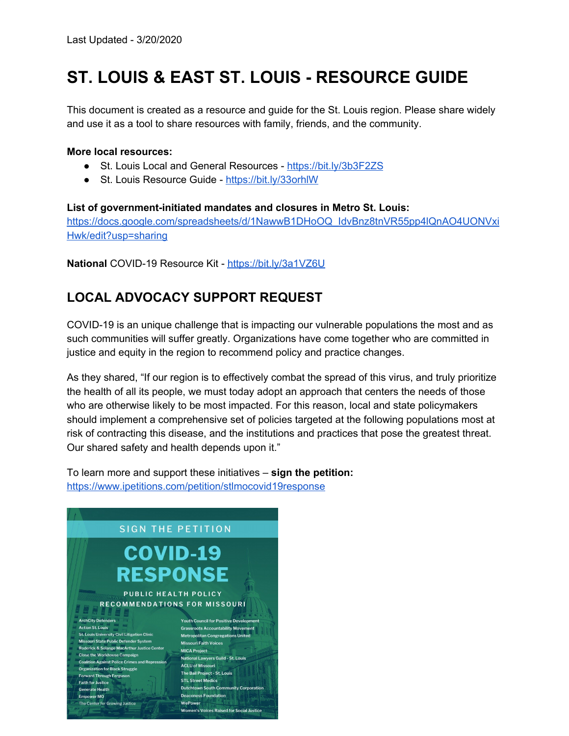# **ST. LOUIS & EAST ST. LOUIS - RESOURCE GUIDE**

This document is created as a resource and guide for the St. Louis region. Please share widely and use it as a tool to share resources with family, friends, and the community.

### **More local resources:**

- St. Louis Local and General Resources <https://bit.ly/3b3F2ZS>
- St. Louis Resource Guide <https://bit.ly/33orhlW>

**List of government-initiated mandates and closures in Metro St. Louis:** [https://docs.google.com/spreadsheets/d/1NawwB1DHoOQ\\_IdvBnz8tnVR55pp4lQnAO4UONVxi](https://docs.google.com/spreadsheets/d/1NawwB1DHoOQ_IdvBnz8tnVR55pp4lQnAO4UONVxiHwk/edit?usp=sharing) [Hwk/edit?usp=sharing](https://docs.google.com/spreadsheets/d/1NawwB1DHoOQ_IdvBnz8tnVR55pp4lQnAO4UONVxiHwk/edit?usp=sharing)

<span id="page-0-0"></span>**National** COVID-19 Resource Kit - <https://bit.ly/3a1VZ6U>

# **LOCAL ADVOCACY SUPPORT REQUEST**

COVID-19 is an unique challenge that is impacting our vulnerable populations the most and as such communities will suffer greatly. Organizations have come together who are committed in justice and equity in the region to recommend policy and practice changes.

As they shared, "If our region is to effectively combat the spread of this virus, and truly prioritize the health of all its people, we must today adopt an approach that centers the needs of those who are otherwise likely to be most impacted. For this reason, local and state policymakers should implement a comprehensive set of policies targeted at the following populations most at risk of contracting this disease, and the institutions and practices that pose the greatest threat. Our shared safety and health depends upon it."

To learn more and support these initiatives – **sign the petition:** [https://www.ipetitions.com/petition/stlmocovid19response](https://www.ipetitions.com/petition/stlmocovid19response?fbclid=IwAR2g3cW9PkPEKYfAAxIyHAVXwNa2orxT6A80J-zV3R6Pnb37X3O_L7pyYW4)

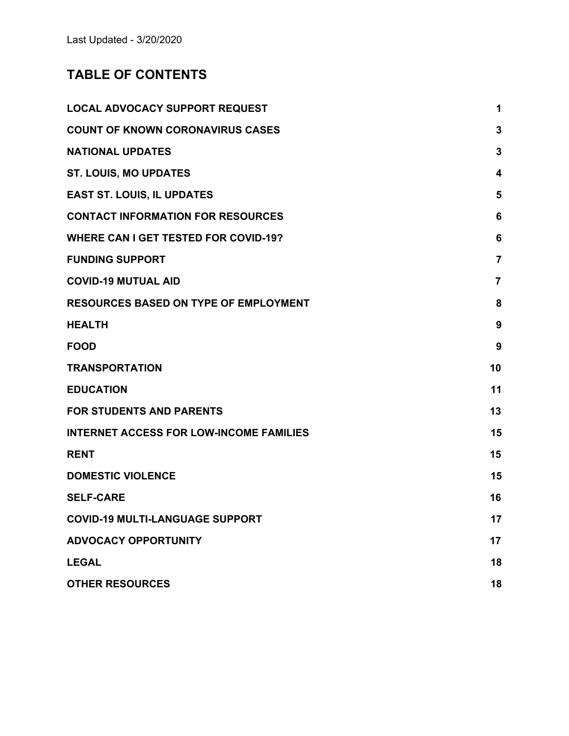# **TABLE OF CONTENTS**

| <b>LOCAL ADVOCACY SUPPORT REQUEST</b>          | 1                       |
|------------------------------------------------|-------------------------|
| <b>COUNT OF KNOWN CORONAVIRUS CASES</b>        | 3                       |
| <b>NATIONAL UPDATES</b>                        | 3                       |
| <b>ST. LOUIS, MO UPDATES</b>                   | $\overline{\mathbf{4}}$ |
| <b>EAST ST. LOUIS, IL UPDATES</b>              | 5                       |
| <b>CONTACT INFORMATION FOR RESOURCES</b>       | 6                       |
| <b>WHERE CAN I GET TESTED FOR COVID-19?</b>    | 6                       |
| <b>FUNDING SUPPORT</b>                         | $\overline{7}$          |
| <b>COVID-19 MUTUAL AID</b>                     | $\overline{7}$          |
| <b>RESOURCES BASED ON TYPE OF EMPLOYMENT</b>   | 8                       |
| <b>HEALTH</b>                                  | 9                       |
| <b>FOOD</b>                                    | 9                       |
| <b>TRANSPORTATION</b>                          | 10                      |
| <b>EDUCATION</b>                               | 11                      |
| <b>FOR STUDENTS AND PARENTS</b>                | 13                      |
| <b>INTERNET ACCESS FOR LOW-INCOME FAMILIES</b> | 15                      |
| <b>RENT</b>                                    | 15                      |
| <b>DOMESTIC VIOLENCE</b>                       | 15                      |
| <b>SELF-CARE</b>                               | 16                      |
| <b>COVID-19 MULTI-LANGUAGE SUPPORT</b>         | 17                      |
| <b>ADVOCACY OPPORTUNITY</b>                    | 17                      |
| <b>LEGAL</b>                                   | 18                      |
| <b>OTHER RESOURCES</b>                         | 18                      |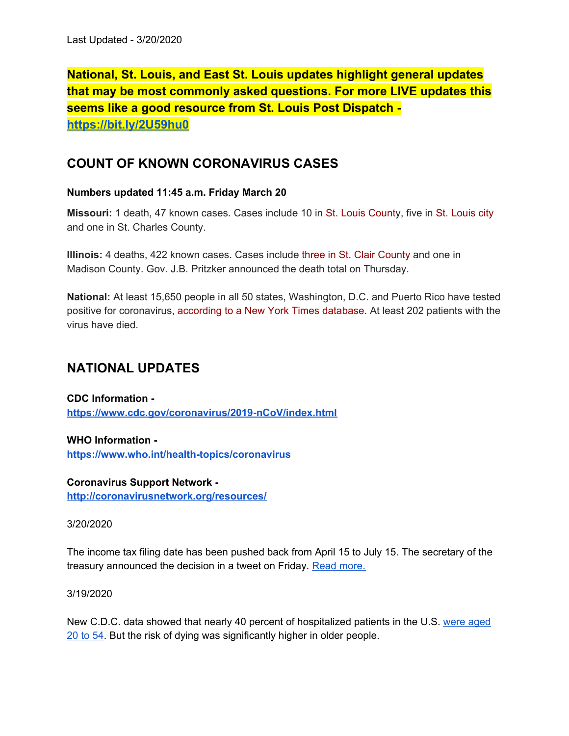**National, St. Louis, and East St. Louis updates highlight general updates that may be most commonly asked questions. For more LIVE updates this seems like a good resource from St. Louis Post Dispatch <https://bit.ly/2U59hu0>**

### <span id="page-2-0"></span>**COUNT OF KNOWN CORONAVIRUS CASES**

### **Numbers updated 11:45 a.m. Friday March 20**

**Missouri:** 1 death, 47 known cases. Cases include 10 in St. Louis [County](https://www.stltoday.com/lifestyles/health-med-fit/coronavirus/family-of-missouri-s-first-coronavirus-patient-broke-self-quarantine/article_94fe6bf6-f679-5b88-870c-18c5f79d019b.html), five in St. [Louis](https://www.stltoday.com/lifestyles/health-med-fit/st-louis-university-student-tests-positive-for-virus/article_18b24776-9a9e-5ae4-a500-f17646782180.html) city and one in St. Charles County.

**Illinois:** 4 deaths, 422 known cases. Cases include three in St. Clair [County](https://www.stltoday.com/lifestyles/health-med-fit/coronavirus/two-st-clair-county-residents-among-illinoisans-testing-positive-for/article_7640ce83-6273-54b4-85d5-5e30513207f6.html#tracking-source=home-the-latest) and one in Madison County. Gov. J.B. Pritzker announced the death total on Thursday.

**National:** At least 15,650 people in all 50 states, Washington, D.C. and Puerto Rico have tested positive for coronavirus, [according](https://www.nytimes.com/interactive/2020/us/coronavirus-us-cases.html) to a New York Times database. At least 202 patients with the virus have died.

### <span id="page-2-1"></span>**NATIONAL UPDATES**

**CDC Information <https://www.cdc.gov/coronavirus/2019-nCoV/index.html>**

**WHO Information <https://www.who.int/health-topics/coronavirus>**

**Coronavirus Support Network [http://coronavirusnetwork.org/resources/](http://coronavirusnetwork.org/resources/?fbclid=IwAR25eqXzFp7svvg6jBpcUOIZ8zaEliGFoHbNvdLmpXPHHX-eXEJGasnds3Y)**

3/20/2020

The income tax filing date has been pushed back from April 15 to July 15. The secretary of the treasury announced the decision in a tweet on Friday. Read [more.](https://www.stltoday.com/lifestyles/health-med-fit/coronavirus/income-tax-filing-deadline-moved-to-july-from-april/article_a7c35d2d-5987-5ccd-b33b-fc9521ba8f4e.html#tracking-source=home-top-story-1)

3/19/2020

New C.D.C. data showed that nearly 40 percent of hospitalized patients in the U.S. were [aged](https://nl.nytimes.com/f/newsletter/FpKJBsgH2MqgqINkvAwPYw~~/AAAAAQA~/RgRgVcc7P0T_aHR0cHM6Ly93d3cubnl0aW1lcy5jb20vMjAyMC8wMy8xOC9oZWFsdGgvY29yb25hdmlydXMteW91bmctcGVvcGxlLmh0bWw_dGU9MSZubD1tb3JuaW5nLWJyaWVmaW5nJmVtYz1lZGl0X05OX3BfMjAyMDAzMTkmc2VjdGlvbj10b3BOZXdzJmNhbXBhaWduX2lkPTkmaW5zdGFuY2VfaWQ9MTY4OTQmc2VnbWVudF9pZD0yMjM3NiZ1c2VyX2lkPTdiYjdlMmU3NDM4MmEzZTZiZGViMTYxMzVkZDEzM2IwJnJlZ2lfaWQ9MTE3ODcxNjkwdGlvbj10b3BOZXdzVwNueXRCCgAmO0JzXv1HsPNSFWVhc3RsY2hvaWNlQGdtYWlsLmNvbVgEAAAAAA~~) 20 to [54.](https://nl.nytimes.com/f/newsletter/FpKJBsgH2MqgqINkvAwPYw~~/AAAAAQA~/RgRgVcc7P0T_aHR0cHM6Ly93d3cubnl0aW1lcy5jb20vMjAyMC8wMy8xOC9oZWFsdGgvY29yb25hdmlydXMteW91bmctcGVvcGxlLmh0bWw_dGU9MSZubD1tb3JuaW5nLWJyaWVmaW5nJmVtYz1lZGl0X05OX3BfMjAyMDAzMTkmc2VjdGlvbj10b3BOZXdzJmNhbXBhaWduX2lkPTkmaW5zdGFuY2VfaWQ9MTY4OTQmc2VnbWVudF9pZD0yMjM3NiZ1c2VyX2lkPTdiYjdlMmU3NDM4MmEzZTZiZGViMTYxMzVkZDEzM2IwJnJlZ2lfaWQ9MTE3ODcxNjkwdGlvbj10b3BOZXdzVwNueXRCCgAmO0JzXv1HsPNSFWVhc3RsY2hvaWNlQGdtYWlsLmNvbVgEAAAAAA~~) But the risk of dying was significantly higher in older people.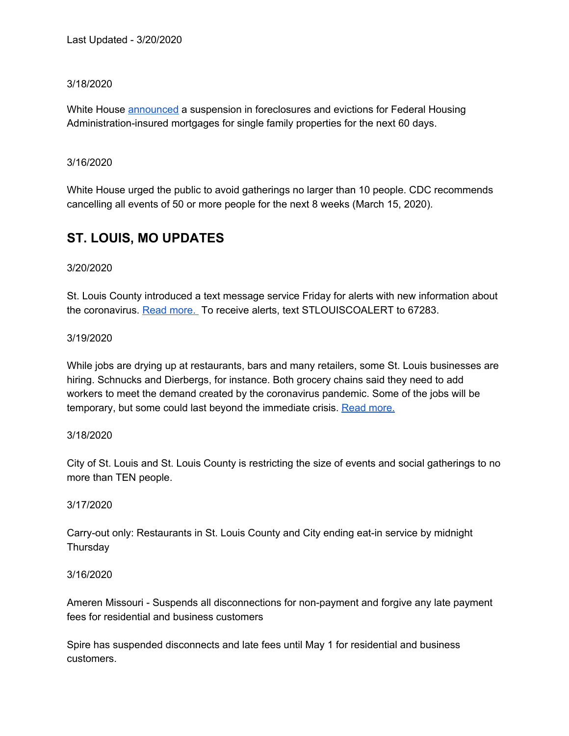### 3/18/2020

White House [announced](https://nam05.safelinks.protection.outlook.com/?url=https%3A%2F%2Fwww.hud.gov%2Fpress%2Fpress_releases_media_advisories%2FHUD_No_20_042&data=02%7C01%7Cgrace.kyung%40urbanstrategiesinc.org%7C0cbf1123d0334b37970408d7cba204be%7C6da2832e50ec45778e4645c67ea4c402%7C0%7C0%7C637201769195548217&sdata=W1qa%2BWt0xeFjGWYo4tAAUUZapuf2vaU4j61dkIRtilA%3D&reserved=0) a suspension in foreclosures and evictions for Federal Housing Administration-insured mortgages for single family properties for the next 60 days.

### 3/16/2020

White House urged the public to avoid gatherings no larger than 10 people. CDC recommends cancelling all events of 50 or more people for the next 8 weeks (March 15, 2020).

### <span id="page-3-0"></span>**ST. LOUIS, MO UPDATES**

#### 3/20/2020

St. Louis County introduced a text message service Friday for alerts with new information about the coronavirus. Read [more.](https://www.stltoday.com/lifestyles/health-med-fit/coronavirus/here-s-how-to-sign-up-for-virus-text-alerts/article_e32bb30b-3a52-59b7-b621-0814b49da2de.html) To receive alerts, text STLOUISCOALERT to 67283.

#### 3/19/2020

While jobs are drying up at restaurants, bars and many retailers, some St. Louis businesses are hiring. Schnucks and Dierbergs, for instance. Both grocery chains said they need to add workers to meet the demand created by the coronavirus pandemic. Some of the jobs will be temporary, but some could last beyond the immediate crisis. Read [more.](https://www.stltoday.com/business/local/restaurant-and-bar-jobs-dry-up-but-dierbergs-schnucks-amazon/article_0caad3ce-c34c-596c-bdba-87885b38df56.html)

#### 3/18/2020

City of St. Louis and St. Louis County is restricting the size of events and social gatherings to no more than TEN people.

#### 3/17/2020

Carry-out only: Restaurants in St. Louis County and City ending eat-in service by midnight **Thursday** 

#### 3/16/2020

Ameren Missouri - Suspends all disconnections for non-payment and forgive any late payment fees for residential and business customers

Spire has suspended disconnects and late fees until May 1 for residential and business customers.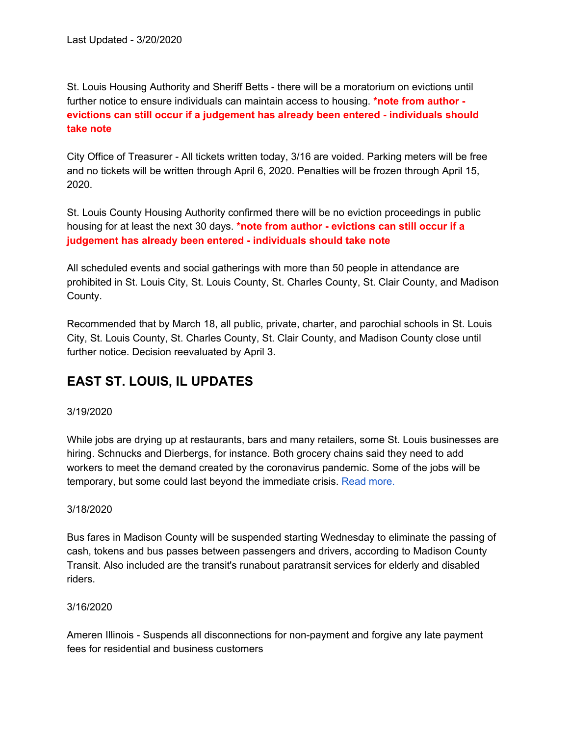St. Louis Housing Authority and Sheriff Betts - there will be a moratorium on evictions until further notice to ensure individuals can maintain access to housing. **\*note from author evictions can still occur if a judgement has already been entered - individuals should take note**

City Office of Treasurer - All tickets written today, 3/16 are voided. Parking meters will be free and no tickets will be written through April 6, 2020. Penalties will be frozen through April 15, 2020.

St. Louis County Housing Authority confirmed there will be no eviction proceedings in public housing for at least the next 30 days. **\*note from author - evictions can still occur if a judgement has already been entered - individuals should take note**

All scheduled events and social gatherings with more than 50 people in attendance are prohibited in St. Louis City, St. Louis County, St. Charles County, St. Clair County, and Madison County.

Recommended that by March 18, all public, private, charter, and parochial schools in St. Louis City, St. Louis County, St. Charles County, St. Clair County, and Madison County close until further notice. Decision reevaluated by April 3.

# <span id="page-4-0"></span>**EAST ST. LOUIS, IL UPDATES**

### 3/19/2020

While jobs are drying up at restaurants, bars and many retailers, some St. Louis businesses are hiring. Schnucks and Dierbergs, for instance. Both grocery chains said they need to add workers to meet the demand created by the coronavirus pandemic. Some of the jobs will be temporary, but some could last beyond the immediate crisis. Read [more.](https://www.stltoday.com/business/local/restaurant-and-bar-jobs-dry-up-but-dierbergs-schnucks-amazon/article_0caad3ce-c34c-596c-bdba-87885b38df56.html)

#### 3/18/2020

Bus fares in Madison County will be suspended starting Wednesday to eliminate the passing of cash, tokens and bus passes between passengers and drivers, according to Madison County Transit. Also included are the transit's runabout paratransit services for elderly and disabled riders.

#### 3/16/2020

Ameren Illinois - Suspends all disconnections for non-payment and forgive any late payment fees for residential and business customers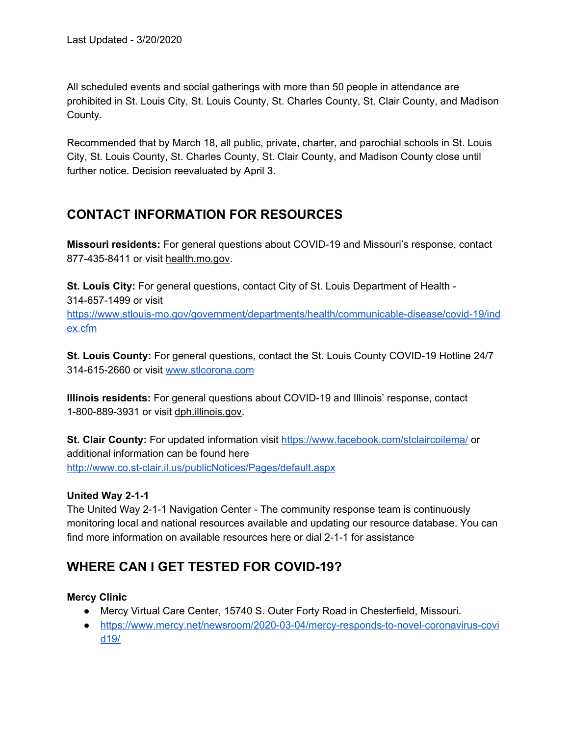All scheduled events and social gatherings with more than 50 people in attendance are prohibited in St. Louis City, St. Louis County, St. Charles County, St. Clair County, and Madison County.

Recommended that by March 18, all public, private, charter, and parochial schools in St. Louis City, St. Louis County, St. Charles County, St. Clair County, and Madison County close until further notice. Decision reevaluated by April 3.

# <span id="page-5-0"></span>**CONTACT INFORMATION FOR RESOURCES**

**Missouri residents:** For general questions about COVID-19 and Missouri's response, contact 877-435-8411 or visit [health.mo.gov.](https://nam05.safelinks.protection.outlook.com/?url=http%3A%2F%2Fclick.stlunitedway.net%2F%3Fqs%3D85bd37e5c1a0d364d50dcb5d137a6febc40748e634099b4998eeafd9ceae277c0491e7eee38b27055953c7761422b6eaa076e36f5f1a86f0&data=02%7C01%7Cgrace.kyung%40urbanstrategiesinc.org%7C6b0e40036b074cfe3a9408d7c9dc695f%7C6da2832e50ec45778e4645c67ea4c402%7C0%7C0%7C637199820808931463&sdata=CuAxbY3Z4vVdbTJUi15cNHtF%2FlVDWHqx0VK5C95dyBg%3D&reserved=0)

**St. Louis City:** For general questions, contact City of St. Louis Department of Health - 314-657-1499 or visit

[https://www.stlouis-mo.gov/government/departments/health/communicable-disease/covid-19/ind](https://www.stlouis-mo.gov/government/departments/health/communicable-disease/covid-19/index.cfm) [ex.cfm](https://www.stlouis-mo.gov/government/departments/health/communicable-disease/covid-19/index.cfm)

**St. Louis County:** For general questions, contact the St. Louis County COVID-19 Hotline 24/7 314-615-2660 or visit [www.stlcorona.com](https://stlcorona.com/)

**Illinois residents:** For general questions about COVID-19 and Illinois' response, contact 1-800-889-3931 or visi[t](https://nam05.safelinks.protection.outlook.com/?url=http%3A%2F%2Fclick.stlunitedway.net%2F%3Fqs%3D85bd37e5c1a0d3644e15df8053996646c54961a482adfc063b2dfd1c8f1ede7ff5836d901d349d4376b8d39efcb19d31ccf43babf2c3698d&data=02%7C01%7Cgrace.kyung%40urbanstrategiesinc.org%7C6b0e40036b074cfe3a9408d7c9dc695f%7C6da2832e50ec45778e4645c67ea4c402%7C0%7C0%7C637199820808931463&sdata=UKiBgrk8elkUA3pizD%2BRF4TI1I4DRQQ1knOmNZ4kWKw%3D&reserved=0) [dph.illinois.gov](https://nam05.safelinks.protection.outlook.com/?url=http%3A%2F%2Fclick.stlunitedway.net%2F%3Fqs%3D85bd37e5c1a0d3644e15df8053996646c54961a482adfc063b2dfd1c8f1ede7ff5836d901d349d4376b8d39efcb19d31ccf43babf2c3698d&data=02%7C01%7Cgrace.kyung%40urbanstrategiesinc.org%7C6b0e40036b074cfe3a9408d7c9dc695f%7C6da2832e50ec45778e4645c67ea4c402%7C0%7C0%7C637199820808931463&sdata=UKiBgrk8elkUA3pizD%2BRF4TI1I4DRQQ1knOmNZ4kWKw%3D&reserved=0).

**St. Clair County:** For updated information visit <https://www.facebook.com/stclaircoilema/> or additional information can be found here <http://www.co.st-clair.il.us/publicNotices/Pages/default.aspx>

### **United Way 2-1-1**

The United Way 2-1-1 Navigation Center - The community response team is continuously monitoring local and national resources available and updating our resource database. You can find more information on available resource[s](https://nam05.safelinks.protection.outlook.com/?url=http%3A%2F%2Fclick.stlunitedway.net%2F%3Fqs%3D85bd37e5c1a0d364cbf4977d98a9abea4bdadb861d04b02ce3bcf8bc2898d13d6466bdd546030006f3d42aea937d24e1c003443cba1fe7cc&data=02%7C01%7Cgrace.kyung%40urbanstrategiesinc.org%7C6b0e40036b074cfe3a9408d7c9dc695f%7C6da2832e50ec45778e4645c67ea4c402%7C0%7C0%7C637199820808941416&sdata=SPwJ7xFxAJYAK9gT48LMlwij%2B4lAXM%2F5MJH4SlP%2FgqA%3D&reserved=0) [here](https://nam05.safelinks.protection.outlook.com/?url=http%3A%2F%2Fclick.stlunitedway.net%2F%3Fqs%3D85bd37e5c1a0d364cbf4977d98a9abea4bdadb861d04b02ce3bcf8bc2898d13d6466bdd546030006f3d42aea937d24e1c003443cba1fe7cc&data=02%7C01%7Cgrace.kyung%40urbanstrategiesinc.org%7C6b0e40036b074cfe3a9408d7c9dc695f%7C6da2832e50ec45778e4645c67ea4c402%7C0%7C0%7C637199820808941416&sdata=SPwJ7xFxAJYAK9gT48LMlwij%2B4lAXM%2F5MJH4SlP%2FgqA%3D&reserved=0) or dial 2-1-1 for assistance

# <span id="page-5-1"></span>**WHERE CAN I GET TESTED FOR COVID-19?**

### **Mercy Clinic**

- Mercy Virtual Care Center, 15740 S. Outer Forty Road in Chesterfield, Missouri.
- [https://www.mercy.net/newsroom/2020-03-04/mercy-responds-to-novel-coronavirus-covi](https://www.mercy.net/newsroom/2020-03-04/mercy-responds-to-novel-coronavirus-covid19/) [d19/](https://www.mercy.net/newsroom/2020-03-04/mercy-responds-to-novel-coronavirus-covid19/)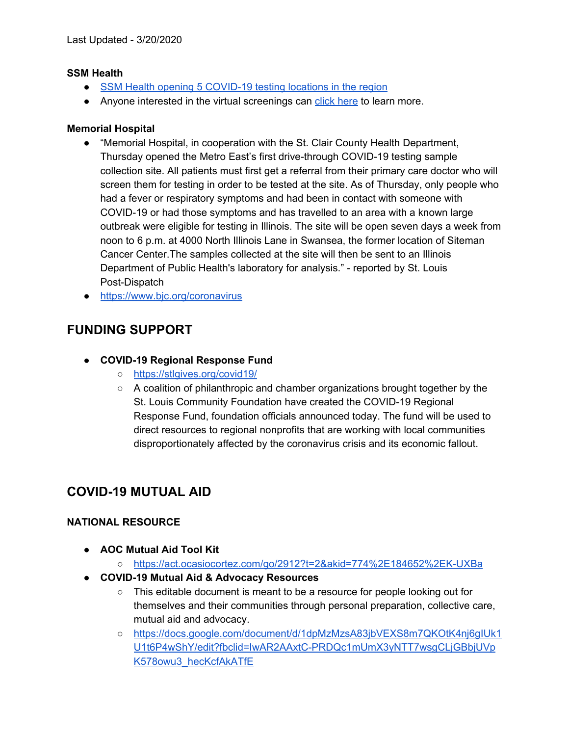### **SSM Health**

- SSM Health opening 5 [COVID-19](https://www.ksdk.com/article/news/health/coronavirus/coronavirus-testing-ssm-health-sites/63-477e82d3-b0a5-443d-a0e1-a372b957aa6b) testing locations in the region
- Anyone interested in the virtual screenings can click [here](https://ssmhealth.zipnosis.com/?_ga=2.174444778.95371113.1584404904-1989346900.1584404904) to learn more.

### **Memorial Hospital**

- "Memorial Hospital, in cooperation with the St. Clair County Health Department, Thursday opened the Metro East's first drive-through COVID-19 testing sample collection site. All patients must first get a referral from their primary care doctor who will screen them for testing in order to be tested at the site. As of Thursday, only people who had a fever or respiratory symptoms and had been in contact with someone with COVID-19 or had those symptoms and has travelled to an area with a known large outbreak were eligible for testing in Illinois. The site will be open seven days a week from noon to 6 p.m. at 4000 North Illinois Lane in Swansea, the former location of Siteman Cancer Center.The samples collected at the site will then be sent to an Illinois Department of Public Health's laboratory for analysis." - reported by St. Louis Post-Dispatch
- <https://www.bjc.org/coronavirus>

### <span id="page-6-0"></span>**FUNDING SUPPORT**

### **● COVID-19 Regional Response Fund**

- **○** <https://stlgives.org/covid19/>
- **○** A coalition of philanthropic and chamber organizations brought together by the St. Louis Community Foundation have created the COVID-19 Regional Response Fund, foundation officials announced today. The fund will be used to direct resources to regional nonprofits that are working with local communities disproportionately affected by the coronavirus crisis and its economic fallout.

# <span id="page-6-1"></span>**COVID-19 MUTUAL AID**

### **NATIONAL RESOURCE**

- **● AOC Mutual Aid Tool Kit**
	- <https://act.ocasiocortez.com/go/2912?t=2&akid=774%2E184652%2EK-UXBa>
- **● COVID-19 Mutual Aid & Advocacy Resources**
	- This editable document is meant to be a resource for people looking out for themselves and their communities through personal preparation, collective care, mutual aid and advocacy.
	- [https://docs.google.com/document/d/1dpMzMzsA83jbVEXS8m7QKOtK4nj6gIUk1](https://docs.google.com/document/d/1dpMzMzsA83jbVEXS8m7QKOtK4nj6gIUk1U1t6P4wShY/edit?fbclid=IwAR2AAxtC-PRDQc1mUmX3yNTT7wsgCLjGBbjUVpK578owu3_hecKcfAkATfE) [U1t6P4wShY/edit?fbclid=IwAR2AAxtC-PRDQc1mUmX3yNTT7wsgCLjGBbjUVp](https://docs.google.com/document/d/1dpMzMzsA83jbVEXS8m7QKOtK4nj6gIUk1U1t6P4wShY/edit?fbclid=IwAR2AAxtC-PRDQc1mUmX3yNTT7wsgCLjGBbjUVpK578owu3_hecKcfAkATfE) [K578owu3\\_hecKcfAkATfE](https://docs.google.com/document/d/1dpMzMzsA83jbVEXS8m7QKOtK4nj6gIUk1U1t6P4wShY/edit?fbclid=IwAR2AAxtC-PRDQc1mUmX3yNTT7wsgCLjGBbjUVpK578owu3_hecKcfAkATfE)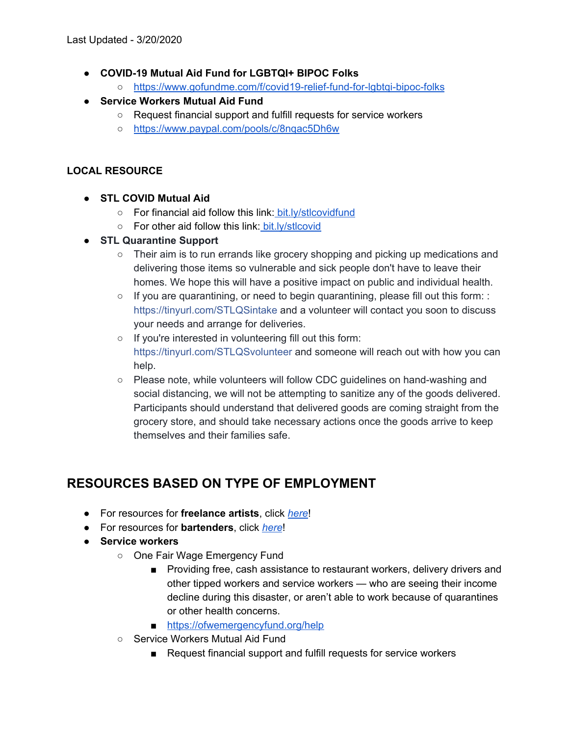- **● COVID-19 Mutual Aid Fund for LGBTQI+ BIPOC Folks**
	- <https://www.gofundme.com/f/covid19-relief-fund-for-lgbtqi-bipoc-folks>
- **● Service Workers Mutual Aid Fund**
	- Request financial support and fulfill requests for service workers
	- <https://www.paypal.com/pools/c/8nqac5Dh6w>

### **LOCAL RESOURCE**

- **● STL COVID Mutual Aid**
	- For financial aid follow this link: [bit.ly/stlcovidfund](https://bit.ly/stlcovidfund?fbclid=IwAR1pbRdXfItYXaon3kyYgKDAllzxWTAnp3i9rLMP7X7Agh9e1hjKTx6UMgY)
	- For other aid follow this link: [bit.ly/stlcovid](https://bit.ly/stlcovid?fbclid=IwAR0PWlHB85rFf0Th2cLYqZkKELgijQKJjpzOouUwp6M2oBeXDAcortsdkAk)
- **● STL Quarantine Support**
	- Their aim is to run errands like grocery shopping and picking up medications and delivering those items so vulnerable and sick people don't have to leave their homes. We hope this will have a positive impact on public and individual health.
	- $\circ$  If you are quarantining, or need to begin quarantining, please fill out this form[:](https://tinyurl.com/STLQSintake?fbclid=IwAR3dHDrhi9r2a1bW3-jRNv7gCRQ7qwl2hFQxWycTe_Q7btM8I71LzsFO-dI) : [https://tinyurl.com/STLQSintake](https://tinyurl.com/STLQSintake?fbclid=IwAR3dHDrhi9r2a1bW3-jRNv7gCRQ7qwl2hFQxWycTe_Q7btM8I71LzsFO-dI) and a volunteer will contact you soon to discuss your needs and arrange for deliveries.
	- If you're interested in volunteering fill out this form[:](https://tinyurl.com/STLQSvolunteer?fbclid=IwAR0lVP3_PvT2LurO45O8uxoWV3BaVRriQyohhH1VqbuvZlGHXVP-DN51Tm8) [https://tinyurl.com/STLQSvolunteer](https://tinyurl.com/STLQSvolunteer?fbclid=IwAR0lVP3_PvT2LurO45O8uxoWV3BaVRriQyohhH1VqbuvZlGHXVP-DN51Tm8) and someone will reach out with how you can help.
	- Please note, while volunteers will follow CDC quidelines on hand-washing and social distancing, we will not be attempting to sanitize any of the goods delivered. Participants should understand that delivered goods are coming straight from the grocery store, and should take necessary actions once the goods arrive to keep themselves and their families safe.

# <span id="page-7-0"></span>**RESOURCES BASED ON TYPE OF EMPLOYMENT**

- For resources for **freelance artists**, click *[here](https://covid19freelanceartistresource.wordpress.com/?fbclid=IwAR2h6cN5HPapOjYZoLocJ7ydEEx34_0Hy_Bp2K_jblFmSKUQ1uNM3j1X3Cs)*!
- For resources for **bartenders**, click *[here](https://www.usbgfoundation.org/beap?fbclid=IwAR3dQlMeJsntGhpWvUi3rWUnkHWQCIL97gG9yqQdG9degTQ_Yxr6YkCqL7I)*!
- **● Service workers**
	- One Fair Wage Emergency Fund
		- Providing free, cash assistance to restaurant workers, delivery drivers and other tipped workers and service workers — who are seeing their income decline during this disaster, or aren't able to work because of quarantines or other health concerns.
		- <https://ofwemergencyfund.org/help>
	- Service Workers Mutual Aid Fund
		- Request financial support and fulfill requests for service workers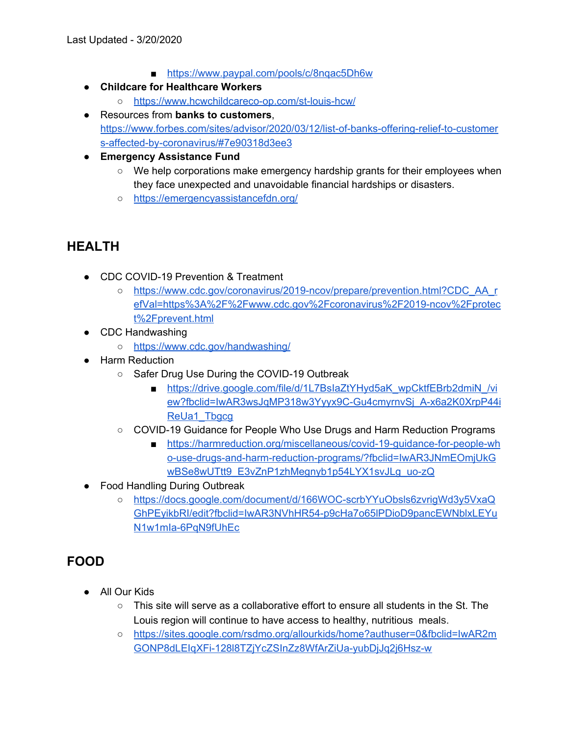- <https://www.paypal.com/pools/c/8nqac5Dh6w>
- **● Childcare for Healthcare Workers**
	- <https://www.hcwchildcareco-op.com/st-louis-hcw/>
- Resources from **banks to customers**, [https://www.forbes.com/sites/advisor/2020/03/12/list-of-banks-offering-relief-to-customer](https://www.forbes.com/sites/advisor/2020/03/12/list-of-banks-offering-relief-to-customers-affected-by-coronavirus/#7e90318d3ee3) [s-affected-by-coronavirus/#7e90318d3ee3](https://www.forbes.com/sites/advisor/2020/03/12/list-of-banks-offering-relief-to-customers-affected-by-coronavirus/#7e90318d3ee3)
- **Emergency Assistance Fund**
	- We help corporations make emergency hardship grants for their employees when they face unexpected and unavoidable financial hardships or disasters.
	- <https://emergencyassistancefdn.org/>

# <span id="page-8-0"></span>**HEALTH**

- CDC COVID-19 Prevention & Treatment
	- [https://www.cdc.gov/coronavirus/2019-ncov/prepare/prevention.html?CDC\\_AA\\_r](https://www.cdc.gov/coronavirus/2019-ncov/prepare/prevention.html?CDC_AA_refVal=https%3A%2F%2Fwww.cdc.gov%2Fcoronavirus%2F2019-ncov%2Fprotect%2Fprevent.html) [efVal=https%3A%2F%2Fwww.cdc.gov%2Fcoronavirus%2F2019-ncov%2Fprotec](https://www.cdc.gov/coronavirus/2019-ncov/prepare/prevention.html?CDC_AA_refVal=https%3A%2F%2Fwww.cdc.gov%2Fcoronavirus%2F2019-ncov%2Fprotect%2Fprevent.html) [t%2Fprevent.html](https://www.cdc.gov/coronavirus/2019-ncov/prepare/prevention.html?CDC_AA_refVal=https%3A%2F%2Fwww.cdc.gov%2Fcoronavirus%2F2019-ncov%2Fprotect%2Fprevent.html)
- CDC Handwashing
	- <https://www.cdc.gov/handwashing/>
- Harm Reduction
	- Safer Drug Use During the COVID-19 Outbreak
		- [https://drive.google.com/file/d/1L7BsIaZtYHyd5aK\\_wpCktfEBrb2dmiN\\_/vi](https://drive.google.com/file/d/1L7BsIaZtYHyd5aK_wpCktfEBrb2dmiN_/view?fbclid=IwAR3wsJqMP318w3Yyyx9C-Gu4cmyrnvSj_A-x6a2K0XrpP44iReUa1_Tbgcg) [ew?fbclid=IwAR3wsJqMP318w3Yyyx9C-Gu4cmyrnvSj\\_A-x6a2K0XrpP44i](https://drive.google.com/file/d/1L7BsIaZtYHyd5aK_wpCktfEBrb2dmiN_/view?fbclid=IwAR3wsJqMP318w3Yyyx9C-Gu4cmyrnvSj_A-x6a2K0XrpP44iReUa1_Tbgcg) [ReUa1\\_Tbgcg](https://drive.google.com/file/d/1L7BsIaZtYHyd5aK_wpCktfEBrb2dmiN_/view?fbclid=IwAR3wsJqMP318w3Yyyx9C-Gu4cmyrnvSj_A-x6a2K0XrpP44iReUa1_Tbgcg)
	- COVID-19 Guidance for People Who Use Drugs and Harm Reduction Programs
		- [https://harmreduction.org/miscellaneous/covid-19-guidance-for-people-wh](https://harmreduction.org/miscellaneous/covid-19-guidance-for-people-who-use-drugs-and-harm-reduction-programs/?fbclid=IwAR3JNmEOmjUkGwBSe8wUTtt9_E3vZnP1zhMegnyb1p54LYX1svJLg_uo-zQ) [o-use-drugs-and-harm-reduction-programs/?fbclid=IwAR3JNmEOmjUkG](https://harmreduction.org/miscellaneous/covid-19-guidance-for-people-who-use-drugs-and-harm-reduction-programs/?fbclid=IwAR3JNmEOmjUkGwBSe8wUTtt9_E3vZnP1zhMegnyb1p54LYX1svJLg_uo-zQ) [wBSe8wUTtt9\\_E3vZnP1zhMegnyb1p54LYX1svJLg\\_uo-zQ](https://harmreduction.org/miscellaneous/covid-19-guidance-for-people-who-use-drugs-and-harm-reduction-programs/?fbclid=IwAR3JNmEOmjUkGwBSe8wUTtt9_E3vZnP1zhMegnyb1p54LYX1svJLg_uo-zQ)
- Food Handling During Outbreak
	- [https://docs.google.com/document/d/166WOC-scrbYYuObsls6zvrigWd3y5VxaQ](https://docs.google.com/document/d/166WOC-scrbYYuObsls6zvrigWd3y5VxaQGhPEyikbRI/edit?fbclid=IwAR3NVhHR54-p9cHa7o65lPDioD9pancEWNblxLEYuN1w1mIa-6PqN9fUhEc) [GhPEyikbRI/edit?fbclid=IwAR3NVhHR54-p9cHa7o65lPDioD9pancEWNblxLEYu](https://docs.google.com/document/d/166WOC-scrbYYuObsls6zvrigWd3y5VxaQGhPEyikbRI/edit?fbclid=IwAR3NVhHR54-p9cHa7o65lPDioD9pancEWNblxLEYuN1w1mIa-6PqN9fUhEc) [N1w1mIa-6PqN9fUhEc](https://docs.google.com/document/d/166WOC-scrbYYuObsls6zvrigWd3y5VxaQGhPEyikbRI/edit?fbclid=IwAR3NVhHR54-p9cHa7o65lPDioD9pancEWNblxLEYuN1w1mIa-6PqN9fUhEc)

# <span id="page-8-1"></span>**FOOD**

- All Our Kids
	- $\circ$  This site will serve as a collaborative effort to ensure all students in the St. The Louis region will continue to have access to healthy, nutritious meals.
	- [https://sites.google.com/rsdmo.org/allourkids/home?authuser=0&fbclid=IwAR2m](https://sites.google.com/rsdmo.org/allourkids/home?authuser=0&fbclid=IwAR2mGONP8dLEIqXFi-128l8TZjYcZSInZz8WfArZiUa-yubDjJq2j6Hsz-w) [GONP8dLEIqXFi-128l8TZjYcZSInZz8WfArZiUa-yubDjJq2j6Hsz-w](https://sites.google.com/rsdmo.org/allourkids/home?authuser=0&fbclid=IwAR2mGONP8dLEIqXFi-128l8TZjYcZSInZz8WfArZiUa-yubDjJq2j6Hsz-w)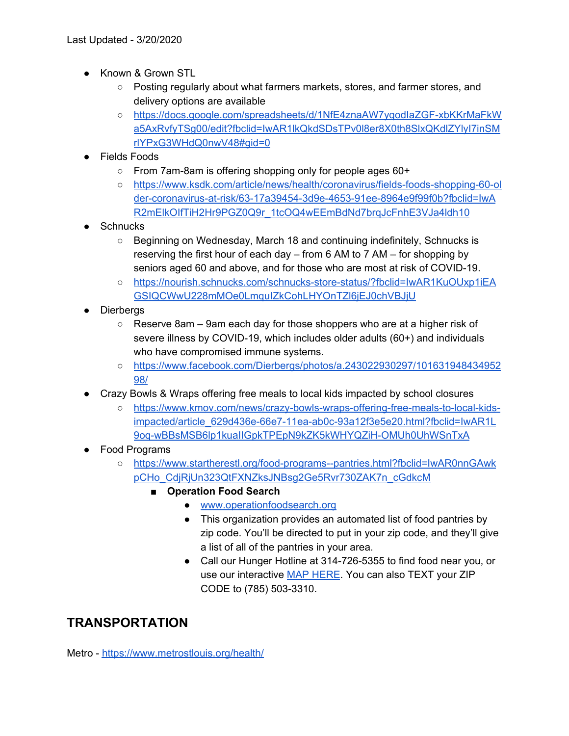- Known & Grown STL
	- Posting regularly about what farmers markets, stores, and farmer stores, and delivery options are available
	- [https://docs.google.com/spreadsheets/d/1NfE4znaAW7yqodIaZGF-xbKKrMaFkW](https://docs.google.com/spreadsheets/d/1NfE4znaAW7yqodIaZGF-xbKKrMaFkWa5AxRvfyTSg00/edit?fbclid=IwAR1lkQkdSDsTPv0l8er8X0th8SlxQKdlZYlyI7inSMrlYPxG3WHdQ0nwV48#gid=0) [a5AxRvfyTSg00/edit?fbclid=IwAR1lkQkdSDsTPv0l8er8X0th8SlxQKdlZYlyI7inSM](https://docs.google.com/spreadsheets/d/1NfE4znaAW7yqodIaZGF-xbKKrMaFkWa5AxRvfyTSg00/edit?fbclid=IwAR1lkQkdSDsTPv0l8er8X0th8SlxQKdlZYlyI7inSMrlYPxG3WHdQ0nwV48#gid=0) [rlYPxG3WHdQ0nwV48#gid=0](https://docs.google.com/spreadsheets/d/1NfE4znaAW7yqodIaZGF-xbKKrMaFkWa5AxRvfyTSg00/edit?fbclid=IwAR1lkQkdSDsTPv0l8er8X0th8SlxQKdlZYlyI7inSMrlYPxG3WHdQ0nwV48#gid=0)
- Fields Foods
	- From 7am-8am is offering shopping only for people ages 60+
	- [https://www.ksdk.com/article/news/health/coronavirus/fields-foods-shopping-60-ol](https://www.ksdk.com/article/news/health/coronavirus/fields-foods-shopping-60-older-coronavirus-at-risk/63-17a39454-3d9e-4653-91ee-8964e9f99f0b?fbclid=IwAR2mElkOIfTiH2Hr9PGZ0Q9r_1tcOQ4wEEmBdNd7brqJcFnhE3VJa4ldh10) [der-coronavirus-at-risk/63-17a39454-3d9e-4653-91ee-8964e9f99f0b?fbclid=IwA](https://www.ksdk.com/article/news/health/coronavirus/fields-foods-shopping-60-older-coronavirus-at-risk/63-17a39454-3d9e-4653-91ee-8964e9f99f0b?fbclid=IwAR2mElkOIfTiH2Hr9PGZ0Q9r_1tcOQ4wEEmBdNd7brqJcFnhE3VJa4ldh10) [R2mElkOIfTiH2Hr9PGZ0Q9r\\_1tcOQ4wEEmBdNd7brqJcFnhE3VJa4ldh10](https://www.ksdk.com/article/news/health/coronavirus/fields-foods-shopping-60-older-coronavirus-at-risk/63-17a39454-3d9e-4653-91ee-8964e9f99f0b?fbclid=IwAR2mElkOIfTiH2Hr9PGZ0Q9r_1tcOQ4wEEmBdNd7brqJcFnhE3VJa4ldh10)
- Schnucks
	- Beginning on Wednesday, March 18 and continuing indefinitely, Schnucks is reserving the first hour of each day – from 6 AM to 7 AM – for shopping by seniors aged 60 and above, and for those who are most at risk of COVID-19.
	- [https://nourish.schnucks.com/schnucks-store-status/?fbclid=IwAR1KuOUxp1iEA](https://nourish.schnucks.com/schnucks-store-status/?fbclid=IwAR1KuOUxp1iEAGSIQCWwU228mMOe0LmquIZkCohLHYOnTZl6jEJ0chVBJjU) [GSIQCWwU228mMOe0LmquIZkCohLHYOnTZl6jEJ0chVBJjU](https://nourish.schnucks.com/schnucks-store-status/?fbclid=IwAR1KuOUxp1iEAGSIQCWwU228mMOe0LmquIZkCohLHYOnTZl6jEJ0chVBJjU)
- Dierbergs
	- $\circ$  Reserve 8am 9am each day for those shoppers who are at a higher risk of severe illness by COVID-19, which includes older adults (60+) and individuals who have compromised immune systems.
	- [https://www.facebook.com/Dierbergs/photos/a.243022930297/101631948434952](https://www.facebook.com/Dierbergs/photos/a.243022930297/10163194843495298/) [98/](https://www.facebook.com/Dierbergs/photos/a.243022930297/10163194843495298/)
- Crazy Bowls & Wraps offering free meals to local kids impacted by school closures
	- [https://www.kmov.com/news/crazy-bowls-wraps-offering-free-meals-to-local-kids](https://www.kmov.com/news/crazy-bowls-wraps-offering-free-meals-to-local-kids-impacted/article_629d436e-66e7-11ea-ab0c-93a12f3e5e20.html?fbclid=IwAR1L9oq-wBBsMSB6lp1kuaIIGpkTPEpN9kZK5kWHYQZiH-OMUh0UhWSnTxA)[impacted/article\\_629d436e-66e7-11ea-ab0c-93a12f3e5e20.html?fbclid=IwAR1L](https://www.kmov.com/news/crazy-bowls-wraps-offering-free-meals-to-local-kids-impacted/article_629d436e-66e7-11ea-ab0c-93a12f3e5e20.html?fbclid=IwAR1L9oq-wBBsMSB6lp1kuaIIGpkTPEpN9kZK5kWHYQZiH-OMUh0UhWSnTxA) [9oq-wBBsMSB6lp1kuaIIGpkTPEpN9kZK5kWHYQZiH-OMUh0UhWSnTxA](https://www.kmov.com/news/crazy-bowls-wraps-offering-free-meals-to-local-kids-impacted/article_629d436e-66e7-11ea-ab0c-93a12f3e5e20.html?fbclid=IwAR1L9oq-wBBsMSB6lp1kuaIIGpkTPEpN9kZK5kWHYQZiH-OMUh0UhWSnTxA)
- Food Programs
	- [https://www.startherestl.org/food-programs--pantries.html?fbclid=IwAR0nnGAwk](https://www.startherestl.org/food-programs--pantries.html?fbclid=IwAR0nnGAwkpCHo_CdjRjUn323QtFXNZksJNBsg2Ge5Rvr730ZAK7n_cGdkcM) [pCHo\\_CdjRjUn323QtFXNZksJNBsg2Ge5Rvr730ZAK7n\\_cGdkcM](https://www.startherestl.org/food-programs--pantries.html?fbclid=IwAR0nnGAwkpCHo_CdjRjUn323QtFXNZksJNBsg2Ge5Rvr730ZAK7n_cGdkcM)
		- **■ Operation Food Search**
			- [www.operationfoodsearch.org](http://www.operationfoodsearch.org/)
			- This organization provides an automated list of food pantries by zip code. You'll be directed to put in your zip code, and they'll give a list of all of the pantries in your area.
			- Call our Hunger Hotline at 314-726-5355 to find food near you, or use our interactive MAP [HERE](https://www.operationfoodsearch.org/find-food/). You can also TEXT your ZIP CODE to (785) 503-3310.

# <span id="page-9-0"></span>**TRANSPORTATION**

Metro - <https://www.metrostlouis.org/health/>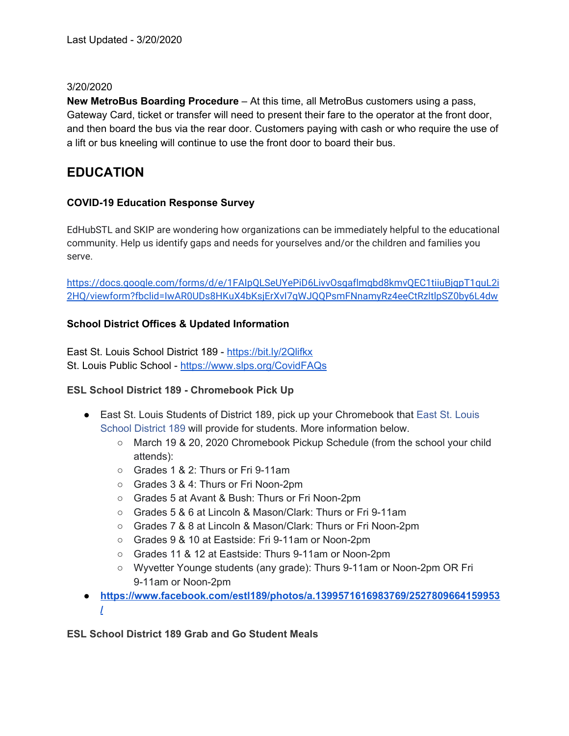#### 3/20/2020

**New MetroBus Boarding Procedure** – At this time, all MetroBus customers using a pass, Gateway Card, ticket or transfer will need to present their fare to the operator at the front door, and then board the bus via the rear door. Customers paying with cash or who require the use of a lift or bus kneeling will continue to use the front door to board their bus.

### <span id="page-10-0"></span>**EDUCATION**

### **COVID-19 Education Response Survey**

EdHubSTL and SKIP are wondering how organizations can be immediately helpful to the educational community. Help us identify gaps and needs for yourselves and/or the children and families you serve.

[https://docs.google.com/forms/d/e/1FAIpQLSeUYePiD6LivvOsgaflmgbd8kmvQEC1tiiuBjgpT1quL2i](https://docs.google.com/forms/d/e/1FAIpQLSeUYePiD6LivvOsgaflmgbd8kmvQEC1tiiuBjgpT1quL2i2HQ/viewform?fbclid=IwAR0UDs8HKuX4bKsjErXvI7gWJQQPsmFNnamyRz4eeCtRzltlpSZ0by6L4dw) [2HQ/viewform?fbclid=IwAR0UDs8HKuX4bKsjErXvI7gWJQQPsmFNnamyRz4eeCtRzltlpSZ0by6L4dw](https://docs.google.com/forms/d/e/1FAIpQLSeUYePiD6LivvOsgaflmgbd8kmvQEC1tiiuBjgpT1quL2i2HQ/viewform?fbclid=IwAR0UDs8HKuX4bKsjErXvI7gWJQQPsmFNnamyRz4eeCtRzltlpSZ0by6L4dw)

### **School District Offices & Updated Information**

East St. Louis School District 189 - <https://bit.ly/2Qlifkx> St. Louis Public School - <https://www.slps.org/CovidFAQs>

#### **ESL School District 189 - Chromebook Pick Up**

- East St. [Louis](https://www.facebook.com/estl189/?__tn__=K-R&eid=ARCz_Lq-Ed6k-xSfcuJqyGJprLOHBlhxDFcwooB-adPU0QxHGj8A_UBus1pgM3vgrGAhDm2WE2scBrCW&fref=mentions&__xts__%5B0%5D=68.ARD4RMeZqLPlaUMrMs0yOJNL-_y-PEpv6cGX8TVrBU2MPRbiZKl2uZ_BKRnhnZvRYKUPcx7V8b5XDaZq3ZfVdfinkc6q9rbEYVNjLL5bx0jOVtjIbXoMzLi1Q4EgBWoeD4nROTZqpue5LaRI1KV04JMDb5F1xS6heATvFg707t8q6H84_1zH_igtfAQw9Ywe3cph811-K2YeleH1BWL-veNGDPkpxuD1pE1mKhKDt8P1BT4aDKYldbncwgZPH-WqeJCrf9PUMXOMbMZ2PCZ9-7XzQ3R9kQhU7UgRlkl7SS5gZEm76uRLetvujxlCJ-SxCMEvAsmcaLqNwOpP1nRyi0Vs5k-3bG5Lui08qrHN3Jv2pOri-bAs6RoMvo8J6hcQZI_0APR61JKtALXc6pVbdh7vLD6gRB7HVYgCOYe-TeLrVYYI87Gq_M4XGI9eXJDbYzrkvZXtScLyZBLO1GcIZ65PEVZfDYwX92-GDe-ibhKn4qjg6fuZr94J-ib-5SuiIHbU25Q6PKgC8TkOx6ve0ebhPVV1MP_skA-x1pzMGqcxdwDk_8WSJZ_eU49nvOaGioCsx9-Z-tU5879j) Students of District 189, pick up your Chromebook that East St. Louis [School](https://www.facebook.com/estl189/?__tn__=K-R&eid=ARCz_Lq-Ed6k-xSfcuJqyGJprLOHBlhxDFcwooB-adPU0QxHGj8A_UBus1pgM3vgrGAhDm2WE2scBrCW&fref=mentions&__xts__%5B0%5D=68.ARD4RMeZqLPlaUMrMs0yOJNL-_y-PEpv6cGX8TVrBU2MPRbiZKl2uZ_BKRnhnZvRYKUPcx7V8b5XDaZq3ZfVdfinkc6q9rbEYVNjLL5bx0jOVtjIbXoMzLi1Q4EgBWoeD4nROTZqpue5LaRI1KV04JMDb5F1xS6heATvFg707t8q6H84_1zH_igtfAQw9Ywe3cph811-K2YeleH1BWL-veNGDPkpxuD1pE1mKhKDt8P1BT4aDKYldbncwgZPH-WqeJCrf9PUMXOMbMZ2PCZ9-7XzQ3R9kQhU7UgRlkl7SS5gZEm76uRLetvujxlCJ-SxCMEvAsmcaLqNwOpP1nRyi0Vs5k-3bG5Lui08qrHN3Jv2pOri-bAs6RoMvo8J6hcQZI_0APR61JKtALXc6pVbdh7vLD6gRB7HVYgCOYe-TeLrVYYI87Gq_M4XGI9eXJDbYzrkvZXtScLyZBLO1GcIZ65PEVZfDYwX92-GDe-ibhKn4qjg6fuZr94J-ib-5SuiIHbU25Q6PKgC8TkOx6ve0ebhPVV1MP_skA-x1pzMGqcxdwDk_8WSJZ_eU49nvOaGioCsx9-Z-tU5879j) District 189 will provide for students. More information below.
	- March 19 & 20, 2020 Chromebook Pickup Schedule (from the school your child attends):
	- Grades 1 & 2: Thurs or Fri 9-11am
	- Grades 3 & 4: Thurs or Fri Noon-2pm
	- Grades 5 at Avant & Bush: Thurs or Fri Noon-2pm
	- Grades 5 & 6 at Lincoln & Mason/Clark: Thurs or Fri 9-11am
	- Grades 7 & 8 at Lincoln & Mason/Clark: Thurs or Fri Noon-2pm
	- Grades 9 & 10 at Eastside: Fri 9-11am or Noon-2pm
	- Grades 11 & 12 at Eastside: Thurs 9-11am or Noon-2pm
	- Wyvetter Younge students (any grade): Thurs 9-11am or Noon-2pm OR Fri 9-11am or Noon-2pm
- **● [https://www.facebook.com/estl189/photos/a.1399571616983769/2527809664159953](https://www.facebook.com/estl189/photos/a.1399571616983769/2527809664159953/) [/](https://www.facebook.com/estl189/photos/a.1399571616983769/2527809664159953/)**

**ESL School District 189 Grab and Go Student Meals**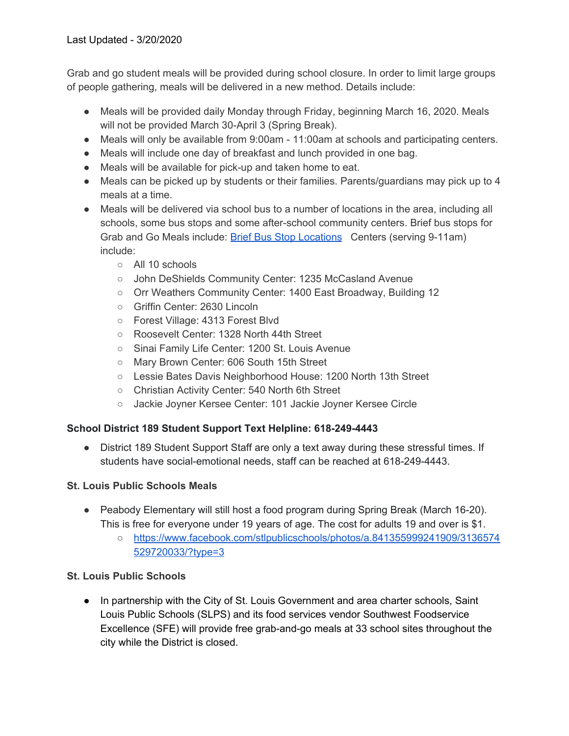Grab and go student meals will be provided during school closure. In order to limit large groups of people gathering, meals will be delivered in a new method. Details include:

- Meals will be provided daily Monday through Friday, beginning March 16, 2020. Meals will not be provided March 30-April 3 (Spring Break).
- Meals will only be available from 9:00am 11:00am at schools and participating centers.
- Meals will include one day of breakfast and lunch provided in one bag.
- Meals will be available for pick-up and taken home to eat.
- Meals can be picked up by students or their families. Parents/guardians may pick up to 4 meals at a time.
- Meals will be delivered via school bus to a number of locations in the area, including all schools, some bus stops and some after-school community centers. Brief bus stops for Grab and Go Meals include: Brief Bus Stop [Locations](https://www.estl189.com/cms/lib/IL02204655/Centricity/Domain/4/MEAL%20BUS%20STOPS.pdf) Centers (serving 9-11am) include:
	- All 10 schools
	- John DeShields Community Center: 1235 McCasland Avenue
	- Orr Weathers Community Center: 1400 East Broadway, Building 12
	- Griffin Center: 2630 Lincoln
	- Forest Village: 4313 Forest Blvd
	- Roosevelt Center: 1328 North 44th Street
	- Sinai Family Life Center: 1200 St. Louis Avenue
	- Mary Brown Center: 606 South 15th Street
	- Lessie Bates Davis Neighborhood House: 1200 North 13th Street
	- Christian Activity Center: 540 North 6th Street
	- Jackie Joyner Kersee Center: 101 Jackie Joyner Kersee Circle

### **School District 189 Student Support Text Helpline: 618-249-4443**

● District 189 Student Support Staff are only a text away during these stressful times. If students have social-emotional needs, staff can be reached at 618-249-4443.

### **St. Louis Public Schools Meals**

- Peabody Elementary will still host a food program during Spring Break (March 16-20). This is free for everyone under 19 years of age. The cost for adults 19 and over is \$1.
	- [https://www.facebook.com/stlpublicschools/photos/a.841355999241909/3136574](https://www.facebook.com/stlpublicschools/photos/a.841355999241909/3136574529720033/?type=3) [529720033/?type=3](https://www.facebook.com/stlpublicschools/photos/a.841355999241909/3136574529720033/?type=3)

### **St. Louis Public Schools**

● In partnership with the City of St. Louis Government and area charter schools, Saint Louis Public Schools (SLPS) and its food services vendor Southwest Foodservice Excellence (SFE) will provide free grab-and-go meals at 33 school sites throughout the city while the District is closed.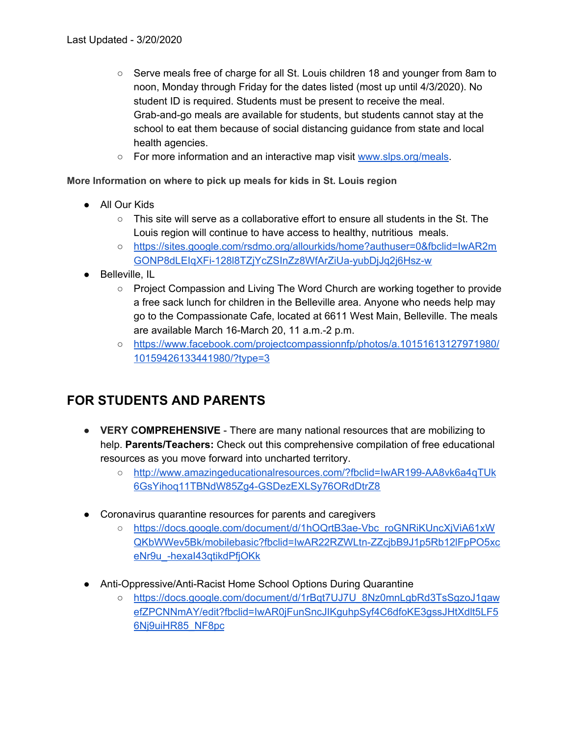- Serve meals free of charge for all St. Louis children 18 and younger from 8am to noon, Monday through Friday for the dates listed (most up until 4/3/2020). No student ID is required. Students must be present to receive the meal. Grab-and-go meals are available for students, but students cannot stay at the school to eat them because of social distancing guidance from state and local health agencies.
- For more information and an interactive map visit [www.slps.org/meals](http://www.slps.org/meals?fbclid=IwAR0kI4GWXgAqryjlvcGKa0CPJbjweORW5atm0aJeuRZTRvE4DJ7d9uxmXWw).

**More Information on where to pick up meals for kids in St. Louis region**

- All Our Kids
	- $\circ$  This site will serve as a collaborative effort to ensure all students in the St. The Louis region will continue to have access to healthy, nutritious meals.
	- [https://sites.google.com/rsdmo.org/allourkids/home?authuser=0&fbclid=IwAR2m](https://sites.google.com/rsdmo.org/allourkids/home?authuser=0&fbclid=IwAR2mGONP8dLEIqXFi-128l8TZjYcZSInZz8WfArZiUa-yubDjJq2j6Hsz-w) [GONP8dLEIqXFi-128l8TZjYcZSInZz8WfArZiUa-yubDjJq2j6Hsz-w](https://sites.google.com/rsdmo.org/allourkids/home?authuser=0&fbclid=IwAR2mGONP8dLEIqXFi-128l8TZjYcZSInZz8WfArZiUa-yubDjJq2j6Hsz-w)
- Belleville, IL
	- Project Compassion and Living The Word Church are working together to provide a free sack lunch for children in the Belleville area. Anyone who needs help may go to the Compassionate Cafe, located at 6611 West Main, Belleville. The meals are available March 16-March 20, 11 a.m.-2 p.m.
	- [https://www.facebook.com/projectcompassionnfp/photos/a.10151613127971980/](https://www.facebook.com/projectcompassionnfp/photos/a.10151613127971980/10159426133441980/?type=3) [10159426133441980/?type=3](https://www.facebook.com/projectcompassionnfp/photos/a.10151613127971980/10159426133441980/?type=3)

# <span id="page-12-0"></span>**FOR STUDENTS AND PARENTS**

- **VERY COMPREHENSIVE** There are many national resources that are mobilizing to help. **Parents/Teachers:** Check out this comprehensive compilation of free educational resources as you move forward into uncharted territory.
	- [http://www.amazingeducationalresources.com/?fbclid=IwAR199-AA8vk6a4qTUk](http://www.amazingeducationalresources.com/?fbclid=IwAR199-AA8vk6a4qTUk6GsYihoq11TBNdW85Zg4-GSDezEXLSy76ORdDtrZ8) [6GsYihoq11TBNdW85Zg4-GSDezEXLSy76ORdDtrZ8](http://www.amazingeducationalresources.com/?fbclid=IwAR199-AA8vk6a4qTUk6GsYihoq11TBNdW85Zg4-GSDezEXLSy76ORdDtrZ8)
- Coronavirus quarantine resources for parents and caregivers
	- [https://docs.google.com/document/d/1hOQrtB3ae-Vbc\\_roGNRiKUncXjViA61xW](https://docs.google.com/document/d/1hOQrtB3ae-Vbc_roGNRiKUncXjViA61xWQKbWWev5Bk/mobilebasic?fbclid=IwAR22RZWLtn-ZZcjbB9J1p5Rb12lFpPO5xceNr9u_-hexaI43qtikdPfjOKk) [QKbWWev5Bk/mobilebasic?fbclid=IwAR22RZWLtn-ZZcjbB9J1p5Rb12lFpPO5xc](https://docs.google.com/document/d/1hOQrtB3ae-Vbc_roGNRiKUncXjViA61xWQKbWWev5Bk/mobilebasic?fbclid=IwAR22RZWLtn-ZZcjbB9J1p5Rb12lFpPO5xceNr9u_-hexaI43qtikdPfjOKk) [eNr9u\\_-hexaI43qtikdPfjOKk](https://docs.google.com/document/d/1hOQrtB3ae-Vbc_roGNRiKUncXjViA61xWQKbWWev5Bk/mobilebasic?fbclid=IwAR22RZWLtn-ZZcjbB9J1p5Rb12lFpPO5xceNr9u_-hexaI43qtikdPfjOKk)
- Anti-Oppressive/Anti-Racist Home School Options During Quarantine
	- o [https://docs.google.com/document/d/1rBqt7UJ7U\\_8Nz0mnLgbRd3TsSgzoJ1gaw](https://docs.google.com/document/d/1rBqt7UJ7U_8Nz0mnLgbRd3TsSgzoJ1gawefZPCNNmAY/edit?fbclid=IwAR0jFunSncJIKguhpSyf4C6dfoKE3gssJHtXdlt5LF56Nj9uiHR85_NF8pc) [efZPCNNmAY/edit?fbclid=IwAR0jFunSncJIKguhpSyf4C6dfoKE3gssJHtXdlt5LF5](https://docs.google.com/document/d/1rBqt7UJ7U_8Nz0mnLgbRd3TsSgzoJ1gawefZPCNNmAY/edit?fbclid=IwAR0jFunSncJIKguhpSyf4C6dfoKE3gssJHtXdlt5LF56Nj9uiHR85_NF8pc) [6Nj9uiHR85\\_NF8pc](https://docs.google.com/document/d/1rBqt7UJ7U_8Nz0mnLgbRd3TsSgzoJ1gawefZPCNNmAY/edit?fbclid=IwAR0jFunSncJIKguhpSyf4C6dfoKE3gssJHtXdlt5LF56Nj9uiHR85_NF8pc)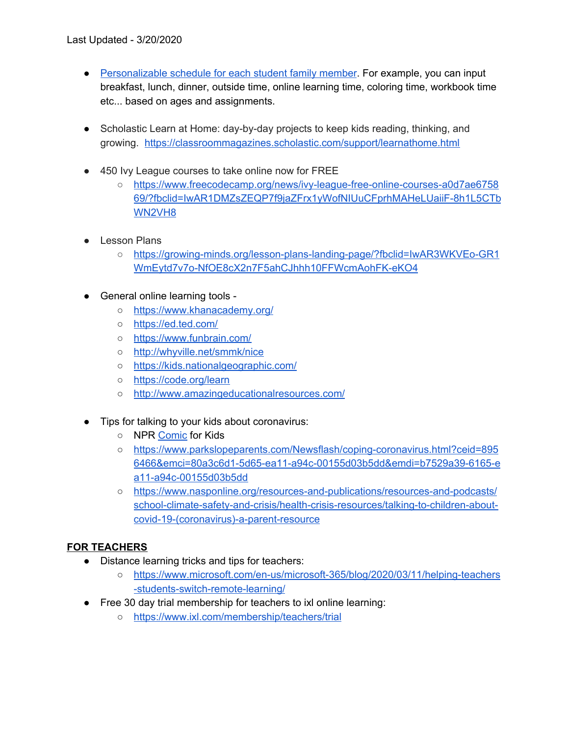- [Personalizable](https://drive.google.com/a/senatorgounardes.nyc/file/d/1UcRV8UGay_2hfxkAAsDC-AKRwwduB-eW/view?usp=sharing) schedule for each student family member. For example, you can input breakfast, lunch, dinner, outside time, online learning time, coloring time, workbook time etc... based on ages and assignments.
- Scholastic Learn at Home: day-by-day projects to keep kids reading, thinking, and growing. <https://classroommagazines.scholastic.com/support/learnathome.html>
- 450 Ivy League courses to take online now for FREE
	- [https://www.freecodecamp.org/news/ivy-league-free-online-courses-a0d7ae6758](https://www.freecodecamp.org/news/ivy-league-free-online-courses-a0d7ae675869/?fbclid=IwAR1DMZsZEQP7f9jaZFrx1yWofNIUuCFprhMAHeLUaiiF-8h1L5CTbWN2VH8) [69/?fbclid=IwAR1DMZsZEQP7f9jaZFrx1yWofNIUuCFprhMAHeLUaiiF-8h1L5CTb](https://www.freecodecamp.org/news/ivy-league-free-online-courses-a0d7ae675869/?fbclid=IwAR1DMZsZEQP7f9jaZFrx1yWofNIUuCFprhMAHeLUaiiF-8h1L5CTbWN2VH8) [WN2VH8](https://www.freecodecamp.org/news/ivy-league-free-online-courses-a0d7ae675869/?fbclid=IwAR1DMZsZEQP7f9jaZFrx1yWofNIUuCFprhMAHeLUaiiF-8h1L5CTbWN2VH8)
- Lesson Plans
	- [https://growing-minds.org/lesson-plans-landing-page/?fbclid=IwAR3WKVEo-GR1](https://growing-minds.org/lesson-plans-landing-page/?fbclid=IwAR3WKVEo-GR1WmEytd7v7o-NfOE8cX2n7F5ahCJhhh10FFWcmAohFK-eKO4) [WmEytd7v7o-NfOE8cX2n7F5ahCJhhh10FFWcmAohFK-eKO4](https://growing-minds.org/lesson-plans-landing-page/?fbclid=IwAR3WKVEo-GR1WmEytd7v7o-NfOE8cX2n7F5ahCJhhh10FFWcmAohFK-eKO4)
- General online learning tools -
	- <https://www.khanacademy.org/>
	- <https://ed.ted.com/>
	- <https://www.funbrain.com/>
	- <http://whyville.net/smmk/nice>
	- <https://kids.nationalgeographic.com/>
	- <https://code.org/learn>
	- <http://www.amazingeducationalresources.com/>
- Tips for talking to your kids about coronavirus:
	- NPR [Comic](https://www.npr.org/sections/goatsandsoda/2020/02/28/809580453/just-for-kids-a-comic-exploring-the-new-coronavirus) for Kids
	- [https://www.parkslopeparents.com/Newsflash/coping-coronavirus.html?ceid=895](https://www.parkslopeparents.com/Newsflash/coping-coronavirus.html?ceid=8956466&emci=80a3c6d1-5d65-ea11-a94c-00155d03b5dd&emdi=b7529a39-6165-ea11-a94c-00155d03b5dd) [6466&emci=80a3c6d1-5d65-ea11-a94c-00155d03b5dd&emdi=b7529a39-6165-e](https://www.parkslopeparents.com/Newsflash/coping-coronavirus.html?ceid=8956466&emci=80a3c6d1-5d65-ea11-a94c-00155d03b5dd&emdi=b7529a39-6165-ea11-a94c-00155d03b5dd) [a11-a94c-00155d03b5dd](https://www.parkslopeparents.com/Newsflash/coping-coronavirus.html?ceid=8956466&emci=80a3c6d1-5d65-ea11-a94c-00155d03b5dd&emdi=b7529a39-6165-ea11-a94c-00155d03b5dd)
	- [https://www.nasponline.org/resources-and-publications/resources-and-podcasts/](https://www.nasponline.org/resources-and-publications/resources-and-podcasts/school-climate-safety-and-crisis/health-crisis-resources/talking-to-children-about-covid-19-(coronavirus)-a-parent-resource) [school-climate-safety-and-crisis/health-crisis-resources/talking-to-children-about](https://www.nasponline.org/resources-and-publications/resources-and-podcasts/school-climate-safety-and-crisis/health-crisis-resources/talking-to-children-about-covid-19-(coronavirus)-a-parent-resource)[covid-19-\(coronavirus\)-a-parent-resource](https://www.nasponline.org/resources-and-publications/resources-and-podcasts/school-climate-safety-and-crisis/health-crisis-resources/talking-to-children-about-covid-19-(coronavirus)-a-parent-resource)

### **FOR TEACHERS**

- Distance learning tricks and tips for teachers:
	- [https://www.microsoft.com/en-us/microsoft-365/blog/2020/03/11/helping-teachers](https://www.microsoft.com/en-us/microsoft-365/blog/2020/03/11/helping-teachers-students-switch-remote-learning/) [-students-switch-remote-learning/](https://www.microsoft.com/en-us/microsoft-365/blog/2020/03/11/helping-teachers-students-switch-remote-learning/)
- Free 30 day trial membership for teachers to ixl online learning:
	- <https://www.ixl.com/membership/teachers/trial>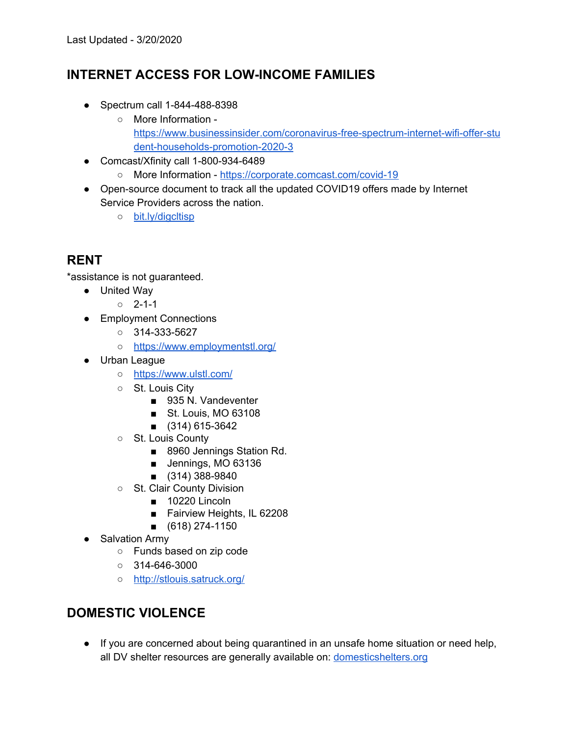# <span id="page-14-0"></span>**INTERNET ACCESS FOR LOW-INCOME FAMILIES**

- Spectrum call 1-844-488-8398
	- More Information [https://www.businessinsider.com/coronavirus-free-spectrum-internet-wifi-offer-stu](https://www.businessinsider.com/coronavirus-free-spectrum-internet-wifi-offer-student-households-promotion-2020-3) [dent-households-promotion-2020-3](https://www.businessinsider.com/coronavirus-free-spectrum-internet-wifi-offer-student-households-promotion-2020-3)
- Comcast/Xfinity call 1-800-934-6489
	- More Information <https://corporate.comcast.com/covid-19>
- Open-source document to track all the updated COVID19 offers made by Internet Service Providers across the nation.
	- [bit.ly/digcltisp](https://nam05.safelinks.protection.outlook.com/?url=http%3A%2F%2Fbit.ly%2Fdigcltisp&data=02%7C01%7CGrace.Kyung%40urbanstrategiesinc.org%7Cf5583dc756c74a7fc75608d7ca7f04f4%7C6da2832e50ec45778e4645c67ea4c402%7C0%7C0%7C637200519212113547&sdata=U6EZpA%2FyKINgPPwn3DeCwSXxBogDq6jgyGd28HT5cJs%3D&reserved=0)

# <span id="page-14-1"></span>**RENT**

\*assistance is not guaranteed.

- United Way
	- $0$  2-1-1
- Employment Connections
	- 314-333-5627
	- <https://www.employmentstl.org/>
- Urban League
	- <https://www.ulstl.com/>
	- St. Louis City
		- 935 N. Vandeventer
		- St. Louis, MO 63108
		- (314) 615-3642
	- St. Louis County
		- 8960 Jennings Station Rd.
		- Jennings, MO 63136
		- (314) 388-9840
	- St. Clair County Division
		- 10220 Lincoln
		- Fairview Heights, IL 62208
		- (618) 274-1150
- Salvation Army
	- Funds based on zip code
	- $\circ$  314-646-3000
	- <http://stlouis.satruck.org/>

# <span id="page-14-2"></span>**DOMESTIC VIOLENCE**

● If you are concerned about being quarantined in an unsafe home situation or need help, all DV shelter resources are generally available on: [domesticshelters.org](https://www.domesticshelters.org/?fbclid=IwAR3OlDY-FZfEdC9i4koF4EJRFKfDur8z7FCd4nDLDIQ_p2wd55sI8GZwzgg)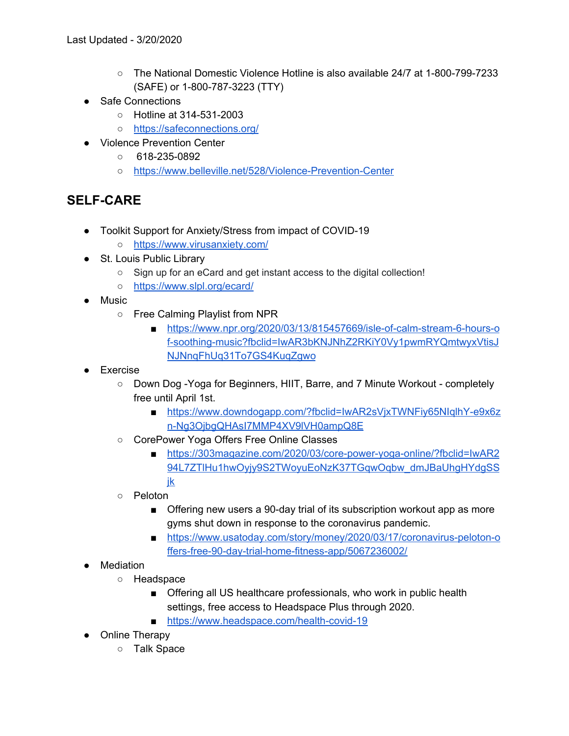- The National Domestic Violence Hotline is also available 24/7 at 1-800-799-7233 (SAFE) or 1-800-787-3223 (TTY)
- Safe Connections
	- Hotline at 314-531-2003
	- <https://safeconnections.org/>
- Violence Prevention Center
	- 618-235-0892
	- <https://www.belleville.net/528/Violence-Prevention-Center>

# <span id="page-15-0"></span>**SELF-CARE**

- Toolkit Support for Anxiety/Stress from impact of COVID-19
	- <https://www.virusanxiety.com/>
- St. Louis Public Library
	- Sign up for an eCard and get instant access to the digital collection!
	- <https://www.slpl.org/ecard/>
- Music
	- Free Calming Playlist from NPR
		- [https://www.npr.org/2020/03/13/815457669/isle-of-calm-stream-6-hours-o](https://www.npr.org/2020/03/13/815457669/isle-of-calm-stream-6-hours-of-soothing-music?fbclid=IwAR3bKNJNhZ2RKiY0Vy1pwmRYQmtwyxVtisJNJNnqFhUq31To7GS4KuqZgwo) [f-soothing-music?fbclid=IwAR3bKNJNhZ2RKiY0Vy1pwmRYQmtwyxVtisJ](https://www.npr.org/2020/03/13/815457669/isle-of-calm-stream-6-hours-of-soothing-music?fbclid=IwAR3bKNJNhZ2RKiY0Vy1pwmRYQmtwyxVtisJNJNnqFhUq31To7GS4KuqZgwo) [NJNnqFhUq31To7GS4KuqZgwo](https://www.npr.org/2020/03/13/815457669/isle-of-calm-stream-6-hours-of-soothing-music?fbclid=IwAR3bKNJNhZ2RKiY0Vy1pwmRYQmtwyxVtisJNJNnqFhUq31To7GS4KuqZgwo)
- Exercise
	- Down Dog -Yoga for Beginners, HIIT, Barre, and 7 Minute Workout completely free until April 1st.
		- [https://www.downdogapp.com/?fbclid=IwAR2sVjxTWNFiy65NIqlhY-e9x6z](https://www.downdogapp.com/?fbclid=IwAR2sVjxTWNFiy65NIqlhY-e9x6zn-Ng3OjbgQHAsI7MMP4XV9lVH0ampQ8E) [n-Ng3OjbgQHAsI7MMP4XV9lVH0ampQ8E](https://www.downdogapp.com/?fbclid=IwAR2sVjxTWNFiy65NIqlhY-e9x6zn-Ng3OjbgQHAsI7MMP4XV9lVH0ampQ8E)
	- CorePower Yoga Offers Free Online Classes
		- [https://303magazine.com/2020/03/core-power-yoga-online/?fbclid=IwAR2](https://303magazine.com/2020/03/core-power-yoga-online/?fbclid=IwAR294L7ZTlHu1hwOyjy9S2TWoyuEoNzK37TGqwOqbw_dmJBaUhgHYdgSSjk) [94L7ZTlHu1hwOyjy9S2TWoyuEoNzK37TGqwOqbw\\_dmJBaUhgHYdgSS](https://303magazine.com/2020/03/core-power-yoga-online/?fbclid=IwAR294L7ZTlHu1hwOyjy9S2TWoyuEoNzK37TGqwOqbw_dmJBaUhgHYdgSSjk) [jk](https://303magazine.com/2020/03/core-power-yoga-online/?fbclid=IwAR294L7ZTlHu1hwOyjy9S2TWoyuEoNzK37TGqwOqbw_dmJBaUhgHYdgSSjk)
	- Peloton
		- Offering new users a 90-day trial of its subscription workout app as more gyms shut down in response to the coronavirus pandemic.
		- [https://www.usatoday.com/story/money/2020/03/17/coronavirus-peloton-o](https://www.usatoday.com/story/money/2020/03/17/coronavirus-peloton-offers-free-90-day-trial-home-fitness-app/5067236002/) [ffers-free-90-day-trial-home-fitness-app/5067236002/](https://www.usatoday.com/story/money/2020/03/17/coronavirus-peloton-offers-free-90-day-trial-home-fitness-app/5067236002/)
- Mediation
	- Headspace
		- Offering all US healthcare professionals, who work in public health settings, free access to Headspace Plus through 2020.
		- <https://www.headspace.com/health-covid-19>
- Online Therapy
	- Talk Space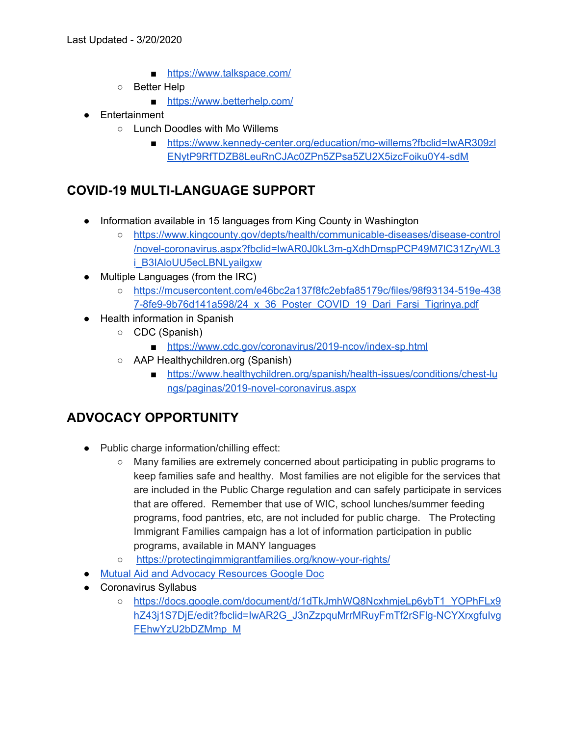- <https://www.talkspace.com/>
- Better Help
	- <https://www.betterhelp.com/>
- Entertainment
	- Lunch Doodles with Mo Willems
		- [https://www.kennedy-center.org/education/mo-willems?fbclid=IwAR309zl](https://www.kennedy-center.org/education/mo-willems?fbclid=IwAR309zlENytP9RfTDZB8LeuRnCJAc0ZPn5ZPsa5ZU2X5izcFoiku0Y4-sdM) [ENytP9RfTDZB8LeuRnCJAc0ZPn5ZPsa5ZU2X5izcFoiku0Y4-sdM](https://www.kennedy-center.org/education/mo-willems?fbclid=IwAR309zlENytP9RfTDZB8LeuRnCJAc0ZPn5ZPsa5ZU2X5izcFoiku0Y4-sdM)

# <span id="page-16-0"></span>**COVID-19 MULTI-LANGUAGE SUPPORT**

- Information available in 15 languages from King County in Washington
	- [https://www.kingcounty.gov/depts/health/communicable-diseases/disease-control](https://www.kingcounty.gov/depts/health/communicable-diseases/disease-control/novel-coronavirus.aspx?fbclid=IwAR0J0kL3m-gXdhDmspPCP49M7lC31ZryWL3i_B3IAloUU5ecLBNLyailgxw) [/novel-coronavirus.aspx?fbclid=IwAR0J0kL3m-gXdhDmspPCP49M7lC31ZryWL3](https://www.kingcounty.gov/depts/health/communicable-diseases/disease-control/novel-coronavirus.aspx?fbclid=IwAR0J0kL3m-gXdhDmspPCP49M7lC31ZryWL3i_B3IAloUU5ecLBNLyailgxw) [i\\_B3IAloUU5ecLBNLyailgxw](https://www.kingcounty.gov/depts/health/communicable-diseases/disease-control/novel-coronavirus.aspx?fbclid=IwAR0J0kL3m-gXdhDmspPCP49M7lC31ZryWL3i_B3IAloUU5ecLBNLyailgxw)
- Multiple Languages (from the IRC)
	- [https://mcusercontent.com/e46bc2a137f8fc2ebfa85179c/files/98f93134-519e-438](https://mcusercontent.com/e46bc2a137f8fc2ebfa85179c/files/98f93134-519e-4387-8fe9-9b76d141a598/24_x_36_Poster_COVID_19_Dari_Farsi_Tigrinya.pdf) [7-8fe9-9b76d141a598/24\\_x\\_36\\_Poster\\_COVID\\_19\\_Dari\\_Farsi\\_Tigrinya.pdf](https://mcusercontent.com/e46bc2a137f8fc2ebfa85179c/files/98f93134-519e-4387-8fe9-9b76d141a598/24_x_36_Poster_COVID_19_Dari_Farsi_Tigrinya.pdf)
- Health information in Spanish
	- CDC (Spanish)
		- <https://www.cdc.gov/coronavirus/2019-ncov/index-sp.html>
	- AAP Healthychildren.org (Spanish)
		- [https://www.healthychildren.org/spanish/health-issues/conditions/chest-lu](https://www.healthychildren.org/spanish/health-issues/conditions/chest-lungs/paginas/2019-novel-coronavirus.aspx) [ngs/paginas/2019-novel-coronavirus.aspx](https://www.healthychildren.org/spanish/health-issues/conditions/chest-lungs/paginas/2019-novel-coronavirus.aspx)

# <span id="page-16-1"></span>**ADVOCACY OPPORTUNITY**

- Public charge information/chilling effect:
	- Many families are extremely concerned about participating in public programs to keep families safe and healthy. Most families are not eligible for the services that are included in the Public Charge regulation and can safely participate in services that are offered. Remember that use of WIC, school lunches/summer feeding programs, food pantries, etc, are not included for public charge. The Protecting Immigrant Families campaign has a lot of information participation in public programs, available in MANY languages
	- <https://protectingimmigrantfamilies.org/know-your-rights/>
- Mutual Aid and Advocacy [Resources](https://docs.google.com/document/d/1dpMzMzsA83jbVEXS8m7QKOtK4nj6gIUk1U1t6P4wShY/edit?fbclid=IwAR2AAxtC-PRDQc1mUmX3yNTT7wsgCLjGBbjUVpK578owu3_hecKcfAkATfE) Google Doc
- Coronavirus Syllabus
	- [https://docs.google.com/document/d/1dTkJmhWQ8NcxhmjeLp6ybT1\\_YOPhFLx9](https://docs.google.com/document/d/1dTkJmhWQ8NcxhmjeLp6ybT1_YOPhFLx9hZ43j1S7DjE/edit?fbclid=IwAR2G_J3nZzpquMrrMRuyFmTf2rSFlg-NCYXrxgfuIvgFEhwYzU2bDZMmp_M) [hZ43j1S7DjE/edit?fbclid=IwAR2G\\_J3nZzpquMrrMRuyFmTf2rSFlg-NCYXrxgfuIvg](https://docs.google.com/document/d/1dTkJmhWQ8NcxhmjeLp6ybT1_YOPhFLx9hZ43j1S7DjE/edit?fbclid=IwAR2G_J3nZzpquMrrMRuyFmTf2rSFlg-NCYXrxgfuIvgFEhwYzU2bDZMmp_M) [FEhwYzU2bDZMmp\\_M](https://docs.google.com/document/d/1dTkJmhWQ8NcxhmjeLp6ybT1_YOPhFLx9hZ43j1S7DjE/edit?fbclid=IwAR2G_J3nZzpquMrrMRuyFmTf2rSFlg-NCYXrxgfuIvgFEhwYzU2bDZMmp_M)